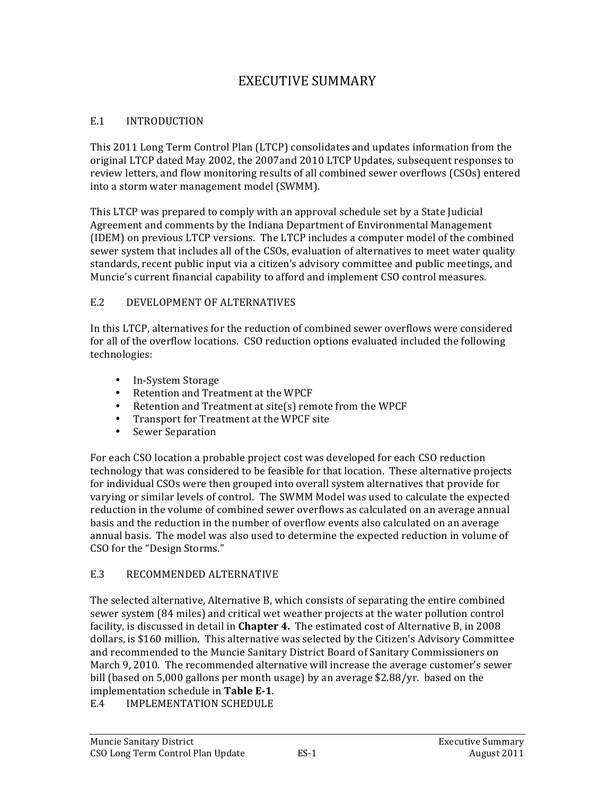# **EXECUTIVE SUMMARY**

#### $E.1$ **INTRODUCTION**

This 2011 Long Term Control Plan (LTCP) consolidates and updates information from the original LTCP dated May 2002, the 2007 and 2010 LTCP Updates, subsequent responses to review letters, and flow monitoring results of all combined sewer overflows (CSOs) entered into a storm water management model (SWMM).

This LTCP was prepared to comply with an approval schedule set by a State Judicial Agreement and comments by the Indiana Department of Environmental Management (IDEM) on previous LTCP versions. The LTCP includes a computer model of the combined sewer system that includes all of the CSOs, evaluation of alternatives to meet water quality standards, recent public input via a citizen's advisory committee and public meetings, and Muncie's current financial capability to afford and implement CSO control measures.

#### $E.2$ DEVELOPMENT OF ALTERNATIVES

In this LTCP, alternatives for the reduction of combined sewer overflows were considered for all of the overflow locations. CSO reduction options evaluated included the following technologies:

- In-System Storage
- Retention and Treatment at the WPCF
- Retention and Treatment at site(s) remote from the WPCF
- Transport for Treatment at the WPCF site
- $\bullet$ **Sewer Separation**

For each CSO location a probable project cost was developed for each CSO reduction technology that was considered to be feasible for that location. These alternative projects for individual CSOs were then grouped into overall system alternatives that provide for varying or similar levels of control. The SWMM Model was used to calculate the expected reduction in the volume of combined sewer overflows as calculated on an average annual basis and the reduction in the number of overflow events also calculated on an average annual basis. The model was also used to determine the expected reduction in volume of CSO for the "Design Storms."

#### E.3 RECOMMENDED ALTERNATIVE

The selected alternative, Alternative B, which consists of separating the entire combined sewer system (84 miles) and critical wet weather projects at the water pollution control facility, is discussed in detail in Chapter 4. The estimated cost of Alternative B, in 2008 dollars, is \$160 million. This alternative was selected by the Citizen's Advisory Committee and recommended to the Muncie Sanitary District Board of Sanitary Commissioners on March 9, 2010. The recommended alternative will increase the average customer's sewer bill (based on 5,000 gallons per month usage) by an average \$2.88/yr. based on the implementation schedule in Table E-1.

 $E.4$ **IMPLEMENTATION SCHEDULE**